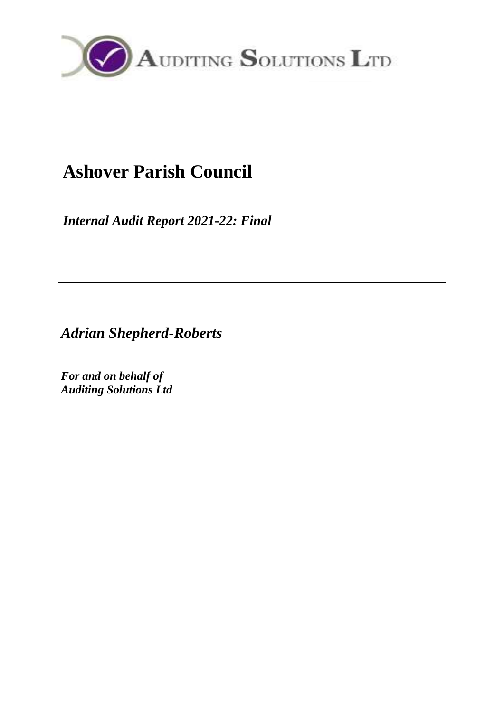

# **Ashover Parish Council**

*Internal Audit Report 2021-22: Final*

*Adrian Shepherd-Roberts*

*For and on behalf of Auditing Solutions Ltd*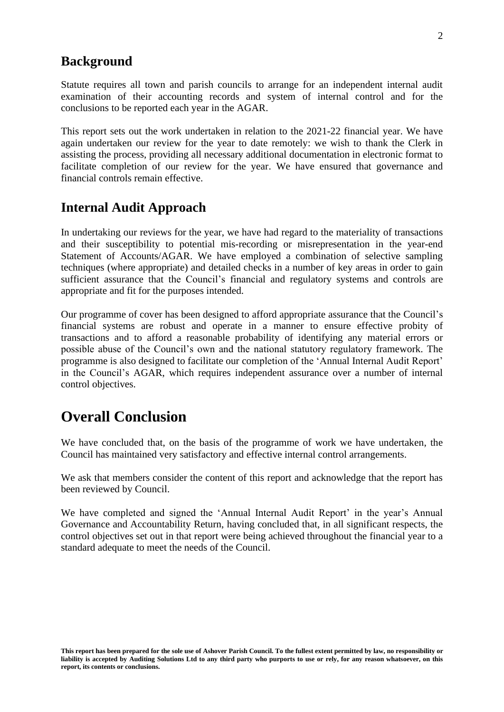### **Background**

Statute requires all town and parish councils to arrange for an independent internal audit examination of their accounting records and system of internal control and for the conclusions to be reported each year in the AGAR.

This report sets out the work undertaken in relation to the 2021-22 financial year. We have again undertaken our review for the year to date remotely: we wish to thank the Clerk in assisting the process, providing all necessary additional documentation in electronic format to facilitate completion of our review for the year. We have ensured that governance and financial controls remain effective.

### **Internal Audit Approach**

In undertaking our reviews for the year, we have had regard to the materiality of transactions and their susceptibility to potential mis-recording or misrepresentation in the year-end Statement of Accounts/AGAR. We have employed a combination of selective sampling techniques (where appropriate) and detailed checks in a number of key areas in order to gain sufficient assurance that the Council's financial and regulatory systems and controls are appropriate and fit for the purposes intended.

Our programme of cover has been designed to afford appropriate assurance that the Council's financial systems are robust and operate in a manner to ensure effective probity of transactions and to afford a reasonable probability of identifying any material errors or possible abuse of the Council's own and the national statutory regulatory framework. The programme is also designed to facilitate our completion of the 'Annual Internal Audit Report' in the Council's AGAR, which requires independent assurance over a number of internal control objectives.

### **Overall Conclusion**

We have concluded that, on the basis of the programme of work we have undertaken, the Council has maintained very satisfactory and effective internal control arrangements.

We ask that members consider the content of this report and acknowledge that the report has been reviewed by Council.

We have completed and signed the 'Annual Internal Audit Report' in the year's Annual Governance and Accountability Return, having concluded that, in all significant respects, the control objectives set out in that report were being achieved throughout the financial year to a standard adequate to meet the needs of the Council.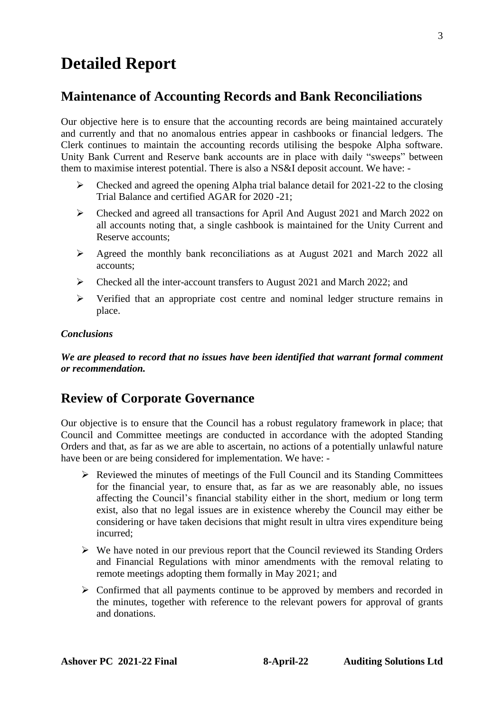## **Detailed Report**

#### **Maintenance of Accounting Records and Bank Reconciliations**

Our objective here is to ensure that the accounting records are being maintained accurately and currently and that no anomalous entries appear in cashbooks or financial ledgers. The Clerk continues to maintain the accounting records utilising the bespoke Alpha software. Unity Bank Current and Reserve bank accounts are in place with daily "sweeps" between them to maximise interest potential. There is also a NS&I deposit account. We have: -

- ➢ Checked and agreed the opening Alpha trial balance detail for 2021-22 to the closing Trial Balance and certified AGAR for 2020 -21;
- ➢ Checked and agreed all transactions for April And August 2021 and March 2022 on all accounts noting that, a single cashbook is maintained for the Unity Current and Reserve accounts;
- ➢ Agreed the monthly bank reconciliations as at August 2021 and March 2022 all accounts;
- ➢ Checked all the inter-account transfers to August 2021 and March 2022; and
- ➢ Verified that an appropriate cost centre and nominal ledger structure remains in place.

#### *Conclusions*

*We are pleased to record that no issues have been identified that warrant formal comment or recommendation.*

### **Review of Corporate Governance**

Our objective is to ensure that the Council has a robust regulatory framework in place; that Council and Committee meetings are conducted in accordance with the adopted Standing Orders and that, as far as we are able to ascertain, no actions of a potentially unlawful nature have been or are being considered for implementation. We have: -

- ➢ Reviewed the minutes of meetings of the Full Council and its Standing Committees for the financial year, to ensure that, as far as we are reasonably able, no issues affecting the Council's financial stability either in the short, medium or long term exist, also that no legal issues are in existence whereby the Council may either be considering or have taken decisions that might result in ultra vires expenditure being incurred;
- ➢ We have noted in our previous report that the Council reviewed its Standing Orders and Financial Regulations with minor amendments with the removal relating to remote meetings adopting them formally in May 2021; and
- ➢ Confirmed that all payments continue to be approved by members and recorded in the minutes, together with reference to the relevant powers for approval of grants and donations.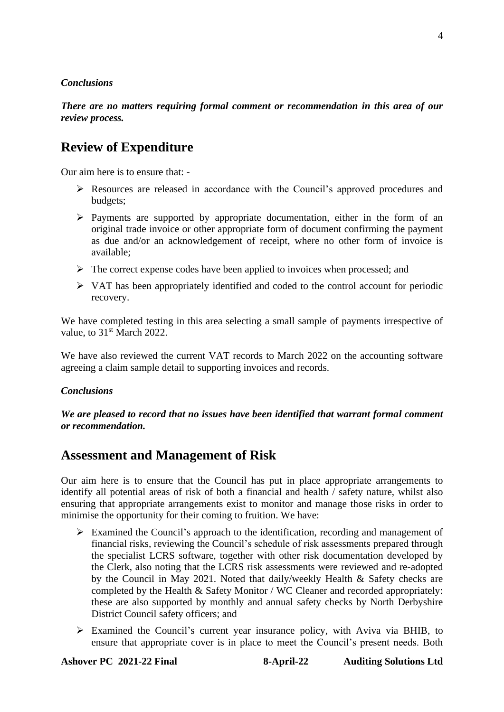#### *Conclusions*

*There are no matters requiring formal comment or recommendation in this area of our review process.*

### **Review of Expenditure**

Our aim here is to ensure that: -

- ➢ Resources are released in accordance with the Council's approved procedures and budgets;
- ➢ Payments are supported by appropriate documentation, either in the form of an original trade invoice or other appropriate form of document confirming the payment as due and/or an acknowledgement of receipt, where no other form of invoice is available;
- $\triangleright$  The correct expense codes have been applied to invoices when processed; and
- ➢ VAT has been appropriately identified and coded to the control account for periodic recovery.

We have completed testing in this area selecting a small sample of payments irrespective of value, to 31<sup>st</sup> March 2022.

We have also reviewed the current VAT records to March 2022 on the accounting software agreeing a claim sample detail to supporting invoices and records.

#### *Conclusions*

*We are pleased to record that no issues have been identified that warrant formal comment or recommendation.*

### **Assessment and Management of Risk**

Our aim here is to ensure that the Council has put in place appropriate arrangements to identify all potential areas of risk of both a financial and health / safety nature, whilst also ensuring that appropriate arrangements exist to monitor and manage those risks in order to minimise the opportunity for their coming to fruition. We have:

- ➢ Examined the Council's approach to the identification, recording and management of financial risks, reviewing the Council's schedule of risk assessments prepared through the specialist LCRS software, together with other risk documentation developed by the Clerk, also noting that the LCRS risk assessments were reviewed and re-adopted by the Council in May 2021. Noted that daily/weekly Health & Safety checks are completed by the Health & Safety Monitor / WC Cleaner and recorded appropriately: these are also supported by monthly and annual safety checks by North Derbyshire District Council safety officers; and
- ➢ Examined the Council's current year insurance policy, with Aviva via BHIB, to ensure that appropriate cover is in place to meet the Council's present needs. Both

**Ashover PC 2021-22 Final 8-April-22 Auditing Solutions Ltd**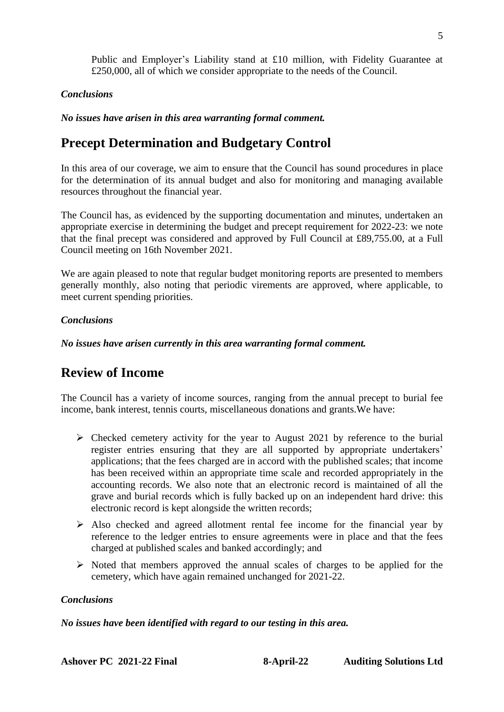Public and Employer's Liability stand at £10 million, with Fidelity Guarantee at £250,000, all of which we consider appropriate to the needs of the Council.

#### *Conclusions*

*No issues have arisen in this area warranting formal comment.*

### **Precept Determination and Budgetary Control**

In this area of our coverage, we aim to ensure that the Council has sound procedures in place for the determination of its annual budget and also for monitoring and managing available resources throughout the financial year.

The Council has, as evidenced by the supporting documentation and minutes, undertaken an appropriate exercise in determining the budget and precept requirement for 2022-23: we note that the final precept was considered and approved by Full Council at £89,755.00, at a Full Council meeting on 16th November 2021.

We are again pleased to note that regular budget monitoring reports are presented to members generally monthly, also noting that periodic virements are approved, where applicable, to meet current spending priorities.

#### *Conclusions*

*No issues have arisen currently in this area warranting formal comment.*

### **Review of Income**

The Council has a variety of income sources, ranging from the annual precept to burial fee income, bank interest, tennis courts, miscellaneous donations and grants.We have:

- ➢ Checked cemetery activity for the year to August 2021 by reference to the burial register entries ensuring that they are all supported by appropriate undertakers' applications; that the fees charged are in accord with the published scales; that income has been received within an appropriate time scale and recorded appropriately in the accounting records. We also note that an electronic record is maintained of all the grave and burial records which is fully backed up on an independent hard drive: this electronic record is kept alongside the written records;
- ➢ Also checked and agreed allotment rental fee income for the financial year by reference to the ledger entries to ensure agreements were in place and that the fees charged at published scales and banked accordingly; and
- ➢ Noted that members approved the annual scales of charges to be applied for the cemetery, which have again remained unchanged for 2021-22.

#### *Conclusions*

*No issues have been identified with regard to our testing in this area.*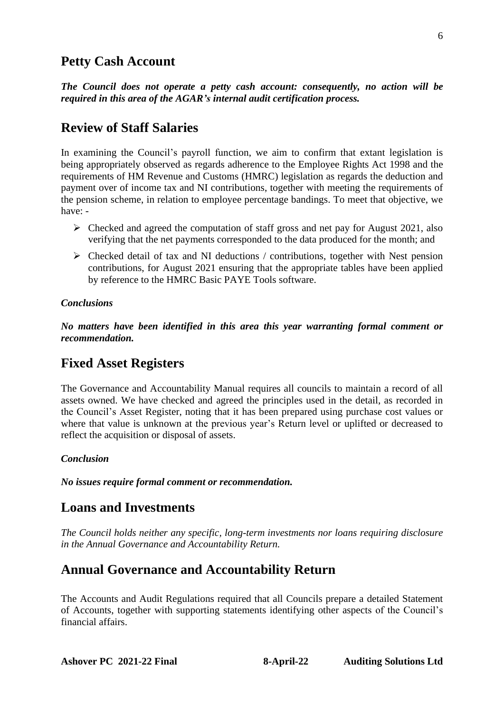### **Petty Cash Account**

*The Council does not operate a petty cash account: consequently, no action will be required in this area of the AGAR's internal audit certification process.*

### **Review of Staff Salaries**

In examining the Council's payroll function, we aim to confirm that extant legislation is being appropriately observed as regards adherence to the Employee Rights Act 1998 and the requirements of HM Revenue and Customs (HMRC) legislation as regards the deduction and payment over of income tax and NI contributions, together with meeting the requirements of the pension scheme, in relation to employee percentage bandings. To meet that objective, we have: -

- $\triangleright$  Checked and agreed the computation of staff gross and net pay for August 2021, also verifying that the net payments corresponded to the data produced for the month; and
- ➢ Checked detail of tax and NI deductions / contributions, together with Nest pension contributions, for August 2021 ensuring that the appropriate tables have been applied by reference to the HMRC Basic PAYE Tools software.

#### *Conclusions*

*No matters have been identified in this area this year warranting formal comment or recommendation.*

### **Fixed Asset Registers**

The Governance and Accountability Manual requires all councils to maintain a record of all assets owned. We have checked and agreed the principles used in the detail, as recorded in the Council's Asset Register, noting that it has been prepared using purchase cost values or where that value is unknown at the previous year's Return level or uplifted or decreased to reflect the acquisition or disposal of assets.

#### *Conclusion*

*No issues require formal comment or recommendation.*

#### **Loans and Investments**

*The Council holds neither any specific, long-term investments nor loans requiring disclosure in the Annual Governance and Accountability Return.*

### **Annual Governance and Accountability Return**

The Accounts and Audit Regulations required that all Councils prepare a detailed Statement of Accounts, together with supporting statements identifying other aspects of the Council's financial affairs.